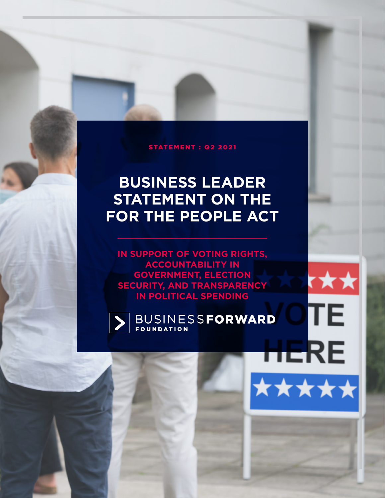#### STATEMENT : Q2 2021

# **BUSINESS LEADER STATEMENT ON THE FOR THE PEOPLE ACT**

**IN SUPPORT OF VOTING RIGHTS, ACCOUNTABILITY IN GOVERNMENT, ELECTION SECURITY, AND TRANSPARENCY IN POLITICAL SPENDING**

t★★

TΕ

**HERE** 

\*\*\*\*\*

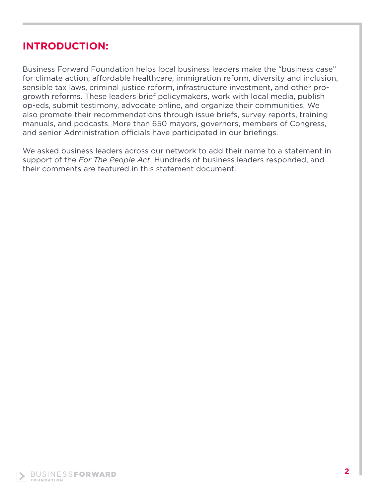# **INTRODUCTION:**

Business Forward Foundation helps local business leaders make the "business case" for climate action, affordable healthcare, immigration reform, diversity and inclusion, sensible tax laws, criminal justice reform, infrastructure investment, and other progrowth reforms. These leaders brief policymakers, work with local media, publish op-eds, submit testimony, advocate online, and organize their communities. We also promote their recommendations through issue briefs, survey reports, training manuals, and podcasts. More than 650 mayors, governors, members of Congress, and senior Administration officials have participated in our briefings.

We asked business leaders across our network to add their name to a statement in support of the *For The People Act*. Hundreds of business leaders responded, and their comments are featured in this statement document.

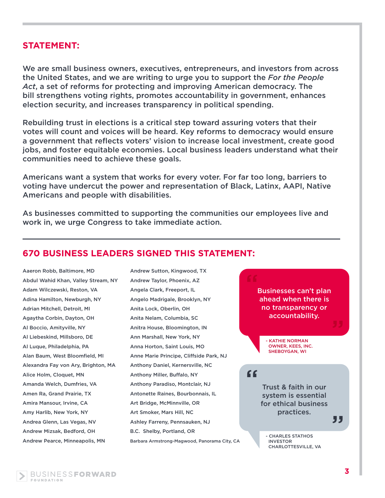#### **STATEMENT:**

We are small business owners, executives, entrepreneurs, and investors from across the United States, and we are writing to urge you to support the *For the People Act*, a set of reforms for protecting and improving American democracy. The bill strengthens voting rights, promotes accountability in government, enhances election security, and increases transparency in political spending.

Rebuilding trust in elections is a critical step toward assuring voters that their votes will count and voices will be heard. Key reforms to democracy would ensure a government that reflects voters' vision to increase local investment, create good jobs, and foster equitable economies. Local business leaders understand what their communities need to achieve these goals.

Americans want a system that works for every voter. For far too long, barriers to voting have undercut the power and representation of Black, Latinx, AAPI, Native Americans and people with disabilities.

As businesses committed to supporting the communities our employees live and work in, we urge Congress to take immediate action.

### **670 BUSINESS LEADERS SIGNED THIS STATEMENT:**

Aaeron Robb, Baltimore, MD Abdul Wahid Khan, Valley Stream, NY Adam Wilczewski, Reston, VA Adina Hamilton, Newburgh, NY Adrian Mitchell, Detroit, MI Agaytha Corbin, Dayton, OH Al Boccio, Amityville, NY Al Liebeskind, Millsboro, DE Al Luque, Philadelphia, PA Alan Baum, West Bloomfield, MI Alexandra Fay von Ary, Brighton, MA Alice Holm, Cloquet, MN Amanda Welch, Dumfries, VA Amen Ra, Grand Prairie, TX Amira Mansour, Irvine, CA Amy Harlib, New York, NY Andrea Glenn, Las Vegas, NV Andrew Mizsak, Bedford, OH Andrew Pearce, Minneapolis, MN

Andrew Sutton, Kingwood, TX Andrew Taylor, Phoenix, AZ Angela Clark, Freeport, IL Angelo Madrigale, Brooklyn, NY Anita Lock, Oberlin, OH Anita Nelam, Columbia, SC Anitra House, Bloomington, IN Ann Marshall, New York, NY Anna Horton, Saint Louis, MO Anne Marie Principe, Cliffside Park, NJ Anthony Daniel, Kernersville, NC Anthony Miller, Buffalo, NY Anthony Paradiso, Montclair, NJ Antonette Raines, Bourbonnais, IL Art Bridge, McMinnville, OR Art Smoker, Mars Hill, NC Ashley Farreny, Pennsauken, NJ B.C. Shelby, Portland, OR Barbara Armstrong-Magwood, Panorama City, CA

Businesses can't plan ahead when there is no transparency or accountability. "

> - KATHIE NORMAN OWNER, KEES, INC. SHEBOYGAN, WI

"

Trust & faith in our system is essential for ethical business practices.

**CHARLES STATHOS**  INVESTOR CHARLOTTESVILLE, VA , , ,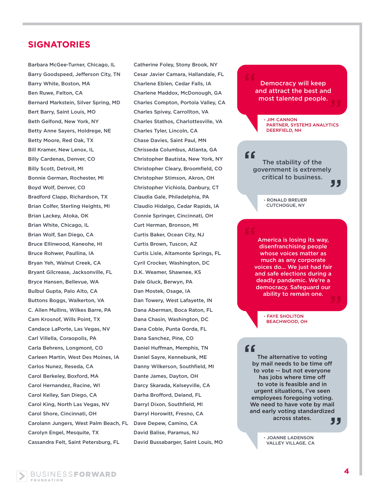Barbara McGee-Turner, Chicago, IL Barry Goodspeed, Jefferson City, TN Barry White, Boston, MA Ben Ruwe, Felton, CA Bernard Markstein, Silver Spring, MD Bert Barry, Saint Louis, MO Beth Gelfond, New York, NY Betty Anne Sayers, Holdrege, NE Betty Moore, Red Oak, TX Bill Kramer, New Lenox, IL Billy Cardenas, Denver, CO Billy Scott, Detroit, MI Bonnie German, Rochester, MI Boyd Wolf, Denver, CO Bradford Clapp, Richardson, TX Brian Colfer, Sterling Heights, MI Brian Lackey, Atoka, OK Brian White, Chicago, IL Brian Wolf, San Diego, CA Bruce Ellinwood, Kaneohe, HI Bruce Rohwer, Paullina, IA Bryan Yeh, Walnut Creek, CA Bryant Gilcrease, Jacksonville, FL Bryce Hansen, Bellevue, WA Bulbul Gupta, Palo Alto, CA Buttons Boggs, Walkerton, VA C. Allen Mullins, Wilkes Barre, PA Cam Krosnof, Wills Point, TX Candace LaPorte, Las Vegas, NV Carl Villella, Coraopolis, PA Carla Behrens, Longmont, CO Carleen Martin, West Des Moines, IA Carlos Nunez, Reseda, CA Carol Berkeley, Boxford, MA Carol Hernandez, Racine, WI Carol Kelley, San Diego, CA Carol King, North Las Vegas, NV Carol Shore, Cincinnati, OH Carolann Jungers, West Palm Beach, FL Carolyn Engel, Mesquite, TX Cassandra Felt, Saint Petersburg, FL

Catherine Foley, Stony Brook, NY Cesar Javier Camara, Hallandale, FL Charlene Eblen, Cedar Falls, IA Charlene Maddox, McDonough, GA Charles Compton, Portola Valley, CA Charles Spivey, Carrollton, VA Charles Stathos, Charlottesville, VA Charles Tyler, Lincoln, CA Chase Davies, Saint Paul, MN Chrisseda Columbus, Atlanta, GA Christopher Bautista, New York, NY Christopher Cleary, Broomfield, CO Christopher Stimson, Akron, OH Christopher Vichiola, Danbury, CT Claudia Gale, Philadelphia, PA Claudio Hidalgo, Cedar Rapids, IA Connie Springer, Cincinnati, OH Curt Herman, Bronson, MI Curtis Baker, Ocean City, NJ Curtis Brown, Tuscon, AZ Curtis Lisle, Altamonte Springs, FL Cyril Crocker, Washington, DC D.K. Weamer, Shawnee, KS Dale Gluck, Berwyn, PA Dan Mostek, Osage, IA Dan Towery, West Lafayette, IN Dana Aberman, Boca Raton, FL Dana Chasin, Washington, DC Dana Coble, Punta Gorda, FL Dana Sanchez, Pine, CO Daniel Huffman, Memphis, TN Daniel Sayre, Kennebunk, ME Danny Wilkerson, Southfield, MI Dante James, Dayton, OH Darcy Skarada, Kelseyville, CA Darha Brofford, Deland, FL Darryl Dixon, Southfield, MI Darryl Horowitt, Fresno, CA Dave Depew, Camino, CA David Balise, Paramus, NJ David Bussabarger, Saint Louis, MO

Democracy will keep and attract the best and most talented people. "<br>" .<br>99

> - JIM CANNON PARTNER, SYSTEM3 ANALYTICS DEERFIELD, NH

The stability of the government is extremely critical to business. " "

> - RONALD BREUER CUTCHOGUE, NY

America is losing its way, disenfranchising people whose voices matter as much as any corporate voices do... We just had fair and safe elections during a deadly pandemic. We're a democracy. Safeguard our ability to remain one.

> - FAYE SHOLITON BEACHWOOD, OH

#### "

The alternative to voting by mail needs to be time off to vote -- but not everyone has jobs where time off to vote is feasible and in urgent situations, I've seen employees foregoing voting. We need to have vote by mail and early voting standardized across states.

"

- JOANNE LADENSON VALLEY VILLAGE, CA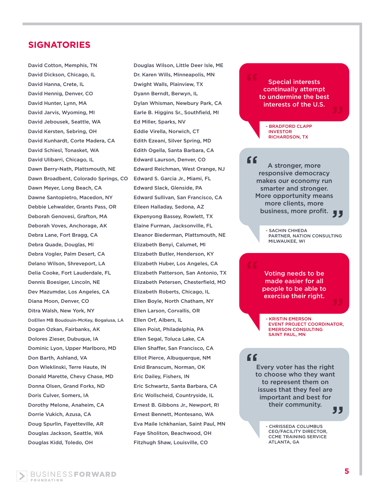David Cotton, Memphis, TN David Dickson, Chicago, IL David Hanna, Crete, IL David Hennig, Denver, CO David Hunter, Lynn, MA David Jarvis, Wyoming, MI David Jebousek, Seattle, WA David Kersten, Sebring, OH David Kunhardt, Corte Madera, CA David Schiesl, Tonasket, WA David Ulibarri, Chicago, IL Dawn Berry-Nath, Plattsmouth, NE Dawn Broadbent, Colorado Springs, CO Dawn Meyer, Long Beach, CA Dawne Santopietro, Macedon, NY Debbie Lehwalder, Grants Pass, OR Deborah Genovesi, Grafton, MA Deborah Voves, Anchorage, AK Debra Lane, Fort Bragg, CA Debra Quade, Douglas, MI Debra Vogler, Palm Desert, CA Delano Wilson, Shreveport, LA Delia Cooke, Fort Lauderdale, FL Dennis Boesiger, Lincoln, NE Dev Mazumdar, Los Angeles, CA Diana Moon, Denver, CO Ditra Walsh, New York, NY DoEllen MB Boudouin-McKey, Bogalusa, LA Dogan Ozkan, Fairbanks, AK Dolores Zieser, Dubuque, IA Dominic Lyon, Upper Marlboro, MD Don Barth, Ashland, VA Don Wleklinski, Terre Haute, IN Donald Marette, Chevy Chase, MD Donna Olsen, Grand Forks, ND Doris Culver, Somers, IA Dorothy Melone, Anaheim, CA Dorrie Vukich, Azusa, CA Doug Spurlin, Fayetteville, AR Douglas Jackson, Seattle, WA Douglas Kidd, Toledo, OH

Douglas Wilson, Little Deer Isle, ME Dr. Karen Wills, Minneapolis, MN Dwight Walls, Plainview, TX Dyann Berndt, Berwyn, IL Dylan Whisman, Newbury Park, CA Earle B. Higgins Sr., Southfield, MI Ed Miller, Sparks, NV Eddie Virella, Norwich, CT Edith Ezeani, Silver Spring, MD Edith Ogella, Santa Barbara, CA Edward Laurson, Denver, CO Edward Reichman, West Orange, NJ Edward S. Garcia Jr., Miami, FL Edward Slack, Glenside, PA Edward Sullivan, San Francisco, CA Eileen Halladay, Sedona, AZ Ekpenyong Bassey, Rowlett, TX Elaine Furman, Jacksonville, FL Eleanor Biederman, Plattsmouth, NE Elizabeth Benyi, Calumet, MI Elizabeth Butler, Henderson, KY Elizabeth Huber, Los Angeles, CA Elizabeth Patterson, San Antonio, TX Elizabeth Petersen, Chesterfield, MO Elizabeth Roberts, Chicago, IL Ellen Boyle, North Chatham, NY Ellen Larson, Corvallis, OR Ellen Orf, Albers, IL Ellen Poist, Philadelphia, PA Ellen Segal, Toluca Lake, CA Ellen Shaffer, San Francisco, CA Elliot Pierce, Albuquerque, NM Enid Branscum, Norman, OK Eric Dailey, Fishers, IN Eric Schwartz, Santa Barbara, CA Eric Wollscheid, Countryside, IL Ernest B. Gibbons Jr., Newport, RI Ernest Bennett, Montesano, WA Eva Maile Ichkhanian, Saint Paul, MN Faye Sholiton, Beachwood, OH Fitzhugh Shaw, Louisville, CO

Special interests continually attempt to undermine the best interests of the U.S.

- BRADFORD CLAPP INVESTOR RICHARDSON, TX

A stronger, more responsive democracy makes our economy run smarter and stronger. More opportunity means more clients, more business, more profit. " ,,

> - SACHIN CHHEDA PARTNER, NATION CONSULTING MILWAUKEE, WI

Voting needs to be made easier for all people to be able to exercise their right.

- KRISTIN EMERSON EVENT PROJECT COORDINATOR, EMERSON CONSULTING SAINT PAUL, MN

#### "

Every voter has the right to choose who they want to represent them on issues that they feel are important and best for their community. , ,

- CHRISSEDA COLUMBUS CEO/FACILITY DIRECTOR, CCME TRAINING SERVICE ATLANTA, GA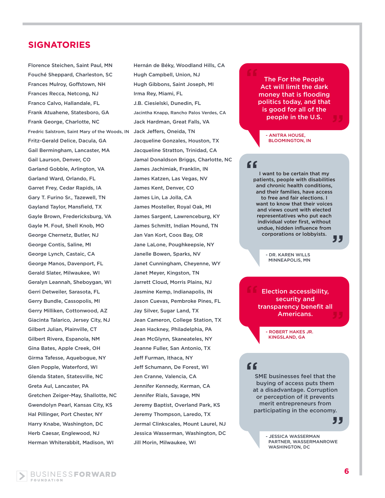Florence Steichen, Saint Paul, MN Fouché Sheppard, Charleston, SC Frances Mulroy, Goffstown, NH Frances Recca, Netcong, NJ Franco Calvo, Hallandale, FL Frank Atuahene, Statesboro, GA Frank George, Charlotte, NC Fredric Salstrom, Saint Mary of the Woods, IN Fritz-Gerald Delice, Dacula, GA Gail Bermingham, Lancaster, MA Gail Laurson, Denver, CO Garland Gobble, Arlington, VA Garland Ward, Orlando, FL Garret Frey, Cedar Rapids, IA Gary T. Furino Sr., Tazewell, TN Gayland Taylor, Mansfield, TX Gayle Brown, Fredericksburg, VA Gayle M. Fout, Shell Knob, MO George Chernetz, Butler, NJ George Contis, Saline, MI George Lynch, Castaic, CA George Manos, Davenport, FL Gerald Slater, Milwaukee, WI Geralyn Leannah, Sheboygan, WI Gerri Detweiler, Sarasota, FL Gerry Bundle, Cassopolis, MI Gerry Milliken, Cottonwood, AZ Giacinta Talarico, Jersey City, NJ Gilbert Julian, Plainville, CT Gilbert Rivera, Espanola, NM Gina Bates, Apple Creek, OH Girma Tafesse, Aquebogue, NY Glen Popple, Waterford, WI Glenda Staten, Statesville, NC Greta Aul, Lancaster, PA Gretchen Zeiger-May, Shallotte, NC Gwendolyn Pearl, Kansas City, KS Hal Pillinger, Port Chester, NY Harry Knabe, Washington, DC Herb Caesar, Englewood, NJ Herman Whiterabbit, Madison, WI

Hernán de Béky, Woodland Hills, CA Hugh Campbell, Union, NJ Hugh Gibbons, Saint Joseph, MI Irma Rey, Miami, FL J.B. Ciesielski, Dunedin, FL Jacintha Knapp, Rancho Palos Verdes, CA Jack Hardman, Great Falls, VA Jack Jeffers, Oneida, TN Jacqueline Gonzales, Houston, TX Jacqueline Stratton, Trinidad, CA Jamal Donaldson Briggs, Charlotte, NC James Jachimiak, Franklin, IN James Katzen, Las Vegas, NV James Kent, Denver, CO James Lin, La Jolla, CA James Mosteller, Royal Oak, MI James Sargent, Lawrenceburg, KY James Schmitt, Indian Mound, TN Jan Van Kort, Coos Bay, OR Jane LaLone, Poughkeepsie, NY Janelle Bowen, Sparks, NV Janet Cunningham, Cheyenne, WY Janet Meyer, Kingston, TN Jarrett Cloud, Morris Plains, NJ Jasmine Kemp, Indianapolis, IN Jason Cuevas, Pembroke Pines, FL Jay Silver, Sugar Land, TX Jean Cameron, College Station, TX Jean Hackney, Philadelphia, PA Jean McGlynn, Skaneateles, NY Jeanne Fuller, San Antonio, TX Jeff Furman, Ithaca, NY Jeff Schumann, De Forest, WI Jen Cranne, Valencia, CA Jennifer Kennedy, Kerman, CA Jennifer Rials, Savage, MN Jeremy Baptist, Overland Park, KS Jeremy Thompson, Laredo, TX Jermal Clinkscales, Mount Laurel, NJ Jessica Wasserman, Washington, DC Jill Morin, Milwaukee, WI

#### The For the People Act will limit the dark money that is flooding politics today, and that is good for all of the people in the U.S.

- ANITRA HOUSE, BLOOMINGTON, IN

#### "

I want to be certain that my patients, people with disabilities and chronic health conditions, and their families, have access to free and fair elections. I want to know that their voices and views count with elected representatives who put each individual voter first, without undue, hidden influence from corporations or lobbyists. "

> - DR. KAREN WILLS MINNEAPOLIS, MN

Election accessibility, security and transparency benefit all Americans.

> - ROBERT HAKES JR. KINGSLAND, GA

## "

SME businesses feel that the buying of access puts them at a disadvantage. Corruption or perception of it prevents merit entrepreneurs from participating in the economy.

"

- JESSICA WASSERMAN PARTNER, WASSERMANROWE WASHINGTON, DC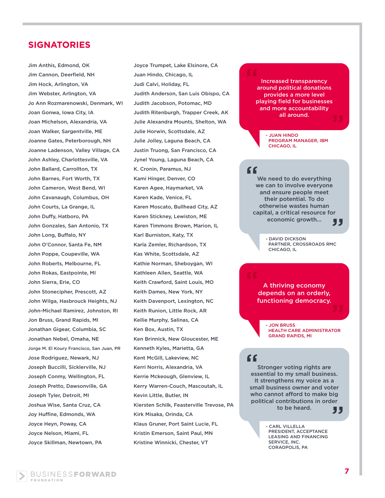Jim Anthis, Edmond, OK Jim Cannon, Deerfield, NH Jim Hock, Arlington, VA Jim Webster, Arlington, VA Jo Ann Rozmarenowski, Denmark, WI Joan Gonwa, Iowa City, IA Joan Michelson, Alexandria, VA Joan Walker, Sargentville, ME Joanne Gates, Peterborough, NH Joanne Ladenson, Valley Village, CA John Ashley, Charlottesville, VA John Ballard, Carrollton, TX John Barnes, Fort Worth, TX John Cameron, West Bend, WI John Cavanaugh, Columbus, OH John Courts, La Grange, IL John Duffy, Hatboro, PA John Gonzales, San Antonio, TX John Long, Buffalo, NY John O'Connor, Santa Fe, NM John Poppe, Coupeville, WA John Roberts, Melbourne, FL John Rokas, Eastpointe, MI John Sierra, Erie, CO John Stonecipher, Prescott, AZ John Wilga, Hasbrouck Heights, NJ John-Michael Ramirez, Johnston, RI Jon Bruss, Grand Rapids, MI Jonathan Gigear, Columbia, SC Jonathan Nebel, Omaha, NE Jorge M. El Koury Francisco, San Juan, PR Jose Rodriguez, Newark, NJ Joseph Buccilli, Sicklerville, NJ Joseph Conmy, Wellington, FL Joseph Pretto, Dawsonville, GA Joseph Tyler, Detroit, MI Joshua Wise, Santa Cruz, CA Joy Huffine, Edmonds, WA Joyce Heyn, Poway, CA Joyce Nelson, Miami, FL Joyce Skillman, Newtown, PA

Joyce Trumpet, Lake Elsinore, CA Juan Hindo, Chicago, IL Judi Calvi, Holiday, FL Judith Anderson, San Luis Obispo, CA Judith Jacobson, Potomac, MD Judith Ritenburgh, Trapper Creek, AK Julie Alexandra Mounts, Shelton, WA Julie Horwin, Scottsdale, AZ Julie Jolley, Laguna Beach, CA Justin Truong, San Francisco, CA Jynel Young, Laguna Beach, CA K. Cronin, Paramus, NJ Kami Hinger, Denver, CO Karen Agee, Haymarket, VA Karen Kade, Venice, FL Karen Moscato, Bullhead City, AZ Karen Stickney, Lewiston, ME Karen Timmons Brown, Marion, IL Karl Burniston, Katy, TX Karla Zemler, Richardson, TX Kas White, Scottsdale, AZ Kathie Norman, Sheboygan, WI Kathleen Allen, Seattle, WA Keith Crawford, Saint Louis, MO Keith Dames, New York, NY Keith Davenport, Lexington, NC Keith Runion, Little Rock, AR Kellie Murphy, Salinas, CA Ken Box, Austin, TX Ken Brinnick, New Gloucester, ME Kenneth Kyles, Marietta, GA Kent McGill, Lakeview, NC Kerri Norris, Alexandria, VA Kerrie Mckeough, Glenview, IL Kerry Warren-Couch, Mascoutah, IL Kevin Little, Butler, IN Kiersten Schilk, Feasterville Trevose, PA Kirk Misaka, Orinda, CA Klaus Gruner, Port Saint Lucie, FL Kristin Emerson, Saint Paul, MN Kristine Winnicki, Chester, VT

#### Increased transparency around political donations provides a more level

playing field for businesses and more accountability all around.

> - JUAN HINDO PROGRAM MANAGER, IBM CHICAGO, IL

#### "

"

We need to do everything we can to involve everyone and ensure people meet their potential. To do otherwise wastes human capital, a critical resource for economic growth... <sub>"</sub><br>JJ

> - DAVID DICKSON PARTNER, CROSSROADS RMC CHICAGO, IL

A thriving economy depends on an orderly, functioning democracy.

- JON BRUSS HEALTH CARE ADMINISTRATOR GRAND RAPIDS, MI

Stronger voting rights are ff<br>Stronger voting rights are<br>essential to my small business. It strengthens my voice as a small business owner and voter who cannot afford to make big political contributions in order to be heard.

"

- CARL VILLELLA PRESIDENT, ACCEPTANCE LEASING AND FINANCING SERVICE, INC. CORAOPOLIS, PA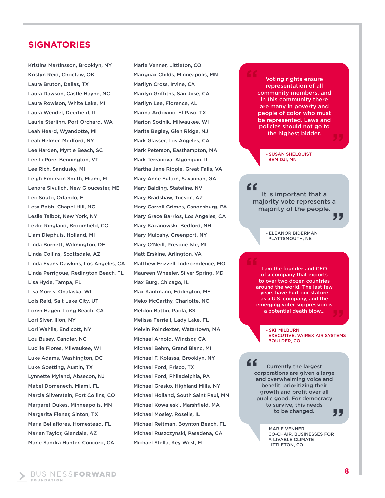Kristins Martinsson, Brooklyn, NY Kristyn Reid, Choctaw, OK Laura Bruton, Dallas, TX Laura Dawson, Castle Hayne, NC Laura Rowlson, White Lake, MI Laura Wendel, Deerfield, IL Laurie Sterling, Port Orchard, WA Leah Heard, Wyandotte, MI Leah Helmer, Medford, NY Lee Harden, Myrtle Beach, SC Lee LePore, Bennington, VT Lee Rich, Sandusky, MI Leigh Emerson Smith, Miami, FL Lenore Sivulich, New Gloucester, ME Leo Souto, Orlando, FL Lesa Babb, Chapel Hill, NC Leslie Talbot, New York, NY Lezlie Ringland, Broomfield, CO Liam Diephuis, Holland, MI Linda Burnett, Wilmington, DE Linda Collins, Scottsdale, AZ Linda Evans Dawkins, Los Angeles, CA Linda Perrigoue, Redington Beach, FL Lisa Hyde, Tampa, FL Lisa Morris, Onalaska, WI Lois Reid, Salt Lake City, UT Loren Hagen, Long Beach, CA Lori Siver, Ilion, NY Lori Wahila, Endicott, NY Lou Busey, Candler, NC Lucille Flores, Milwaukee, WI Luke Adams, Washington, DC Luke Goetting, Austin, TX Lynnette Myland, Absecon, NJ Mabel Domenech, Miami, FL Marcia Silverstein, Fort Collins, CO Margaret Dukes, Minneapolis, MN Margarita Flener, Sinton, TX Maria Bellaflores, Homestead, FL Marian Taylor, Glendale, AZ Marie Sandra Hunter, Concord, CA

Marie Venner, Littleton, CO Mariguax Childs, Minneapolis, MN Marilyn Cross, Irvine, CA Marilyn Griffiths, San Jose, CA Marilyn Lee, Florence, AL Marina Ardovino, El Paso, TX Marion Sodnik, Milwaukee, WI Marita Begley, Glen Ridge, NJ Mark Glasser, Los Angeles, CA Mark Peterson, Easthampton, MA Mark Terranova, Algonquin, IL Martha Jane Ripple, Great Falls, VA Mary Anne Fulton, Savannah, GA Mary Balding, Stateline, NV Mary Bradshaw, Tucson, AZ Mary Carroll Grimes, Canonsburg, PA Mary Grace Barrios, Los Angeles, CA Mary Kazanowski, Bedford, NH Mary Mulcahy, Greenport, NY Mary O'Neill, Presque Isle, MI Matt Erskine, Arlington, VA Matthew Frizzell, Independence, MO Maureen Wheeler, Silver Spring, MD Max Burg, Chicago, IL Max Kaufmann, Eddington, ME Meko McCarthy, Charlotte, NC Meldon Battin, Paola, KS Melissa Ferriell, Lady Lake, FL Melvin Poindexter, Watertown, MA Michael Arnold, Windsor, CA Michael Behm, Grand Blanc, MI Michael F. Kolassa, Brooklyn, NY Michael Ford, Frisco, TX Michael Ford, Philadelphia, PA Michael Gresko, Highland Mills, NY Michael Holland, South Saint Paul, MN Michael Kowaleski, Marshfield, MA Michael Mosley, Roselle, IL Michael Reitman, Boynton Beach, FL Michael Ruszczynski, Pasadena, CA Michael Stella, Key West, FL

#### Voting rights ensure representation of all community members, and in this community there are many in poverty and people of color who must be represented. Laws and policies should not go to the highest bidder. "

- SUSAN SHELQUIST BEMIDJI, MN

# "

It is important that a majority vote represents a majority of the people.

"

- ELEANOR BIDERMAN PLATTSMOUTH, NE

I am the founder and CEO of a company that exports to over two dozen countries around the world. The last few years have hurt our stature as a U.S. company, and the emerging voter suppression is a potential death blow...

- SKI MILBURN EXECUTIVE, VAIREX AIR SYSTEMS BOULDER, CO

Currently the largest corporations are given a large and overwhelming voice and benefit, prioritizing their growth and profit over all public good. For democracy to survive, this needs to be changed. " , , ,

> - MARIE VENNER CO-CHAIR, BUSINESSES FOR A LIVABLE CLIMATE LITTLETON, CO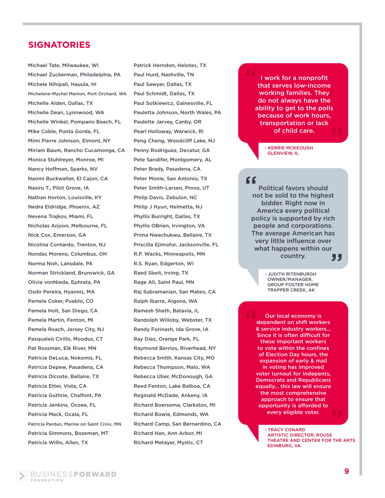Michael Tate, Milwaukee, WI Michael Zuckerman, Philadelphia, PA Michele Nihipali, Hauula, HI Michelene-Mychel Manion, Port Orchard, WA Michelle Alden, Dallas, TX Michelle Dean, Lynnwood, WA Michelle Winkel, Pompano Beach, FL Mike Coble, Punta Gorda, FL Mimi Pierre Johnson, Elmont, NY Miriam Baum, Rancho Cucamonga, CA Monica Stuhlreyer, Monroe, MI Nancy Hoffman, Sparks, NV Naomi Buckwalter, El Cajon, CA Nasiru T., Pilot Grove, IA Nathan Horton, Louisville, KY Nedra Eldridge, Phoenix, AZ Nevena Trajkov, Miami, FL Nicholas Arjoon, Melbourne, FL Nick Cox, Emerson, GA Nicolina Contardo, Trenton, NJ Nondas Moreno, Columbus, OH Norma Nish, Lansdale, PA Norman Strickland, Brunswick, GA Olivia vonNieda, Ephrata, PA Osdir Pereira, Hyannis, MA Pamela Coker, Pueblo, CO Pamela Holt, San Diego, CA Pamela Martin, Fenton, MI Pamela Roach, Jersey City, NJ Pasqualeò Cirillo, Moodus, CT Pat Rossman, Elk River, MN Patricia DeLuca, Nokomis, FL Patricia Depew, Pasadena, CA Patricia Dicoste, Bellaire, TX Patricia Etter, Vista, CA Patricia Guthrie, Chalfont, PA Patricia Jenkins, Ocoee, FL Patricia Mack, Ocala, FL Patricia Pardun, Marine on Saint Croix, MN Patricia Simmons, Bozeman, MT Patricia Willis, Allen, TX

Patrick Herndon, Helotes, TX Paul Hurd, Nashville, TN Paul Sawyer, Dallas, TX Paul Schmidt, Dallas, TX Paul Sotkiewicz, Gainesville, FL Pauletta Johnson, North Wales, PA Paulette Jarvey, Canby, OR Pearl Holloway, Warwick, RI Peng Cheng, Woodcliff Lake, NJ Penny Rodriguez, Decatur, GA Pete Sandifer, Montgomery, AL Peter Brady, Pasadena, CA Peter Monie, San Antonio, TX Peter Smith-Larsen, Provo, UT Philip Davis, Zebulon, NC Philip J Hyun, Helmetta, NJ Phyllis Burright, Dallas, TX Phyllis OBrien, Irvington, VA Prima Nwachukwu, Bellaire, TX Priscilla Ejimofor, Jacksonville, FL R.P. Wacks, Minneapolis, MN R.S. Ryan, Edgerton, WI Raed Sbeit, Irving, TX Rage Ali, Saint Paul, MN Raj Subramanian, San Mateo, CA Ralph Ibarra, Algona, WA Ramesh Sheth, Batavia, IL Randolph Willoby, Webster, TX Randy Forinash, Ida Grove, IA Ray Diaz, Orange Park, FL Raymond Berrios, Riverhead, NY Rebecca Smith, Kansas City, MO Rebecca Thompson, Malo, WA Rebecca Uber, McDonough, GA Reed Fenton, Lake Balboa, CA Reginald McDade, Ankeny, IA Richard Boersema, Clarkston, MI Richard Bowie, Edmonds, WA Richard Camp, San Bernardino, CA Richard Han, Ann Arbor, MI Richard Metayer, Mystic, CT

#### I work for a nonprofit that serves low-income working families. They do not always have the ability to get to the polls because of work hours, transportation or lack of child care.

- KERRIE MCKEOUGH GLENVIEW, IL

#### "

Political favors should not be sold to the highest bidder. Right now in America every political policy is supported by rich people and corporations. The average American has very little influence over what happens within our country. "

> - JUDITH RITENBURGH OWNER/MANAGER, GROUP FOSTER HOME TRAPPER CREEK, AK

Our local economy is dependent on shift workers & service industry workers... Since it is often difficult for these important workers to vote within the confines of Election Day hours, the expansion of early & mail in voting has improved voter turnout for Indepents, Democrats and Republicans equally... this law will ensure the most comprehensive approach to ensure that opportunity is afforded to every eligible voter. "

> - TRACY CONARD ARTISTIC DIRECTOR, ROUSS THEATRE AND CENTER FOR THE ARTS EDINBURG, VA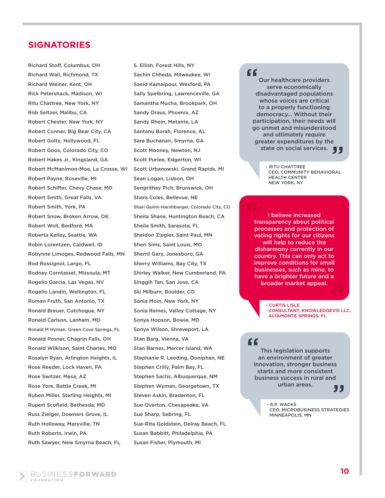Richard Stoff, Columbus, OH Richard Wall, Richmond, TX Richard Weiner, Kent, OH Rick Petershack, Madison, WI Ritu Chattree, New York, NY Rob Seltzer, Malibu, CA Robert Chester, New York, NY Robert Conner, Big Bear City, CA Robert Goltz, Hollywood, FL Robert Goos, Colorado City, CO Robert Hakes Jr., Kingsland, GA Robert McManimon-Moe, La Crosse, WI Robert Payne, Roseville, MI Robert Schiffer, Chevy Chase, MD Robert Smith, Great Falls, VA Robert Smith, York, PA Robert Snow, Broken Arrow, OK Robert Woll, Bedford, MA Roberta Kelley, Seattle, WA Robin Lorentzen, Caldwell, ID Robynne Limoges, Redwood Falls, MN Rod Rossignol, Largo, FL Rodney Corntassel, Missoula, MT Rogelio Garcia, Las Vegas, NV Rogelio Landin, Wellington, FL Roman Fruth, San Antonio, TX Ronald Breuer, Cutchogue, NY Ronald Carlson, Lanham, MD Ronald M Hyman, Green Cove Springs, FL Ronald Posner, Chagrin Falls, OH Ronald Wilkison, Saint Charles, MO Rosalyn Ryan, Arlington Heights, IL Rose Reeder, Lock Haven, PA Rose Switzer, Mesa, AZ Rose Yore, Battle Creek, MI Ruben Miller, Sterling Heights, MI Rupert Scofield, Bethesda, MD Russ Zielger, Downers Grove, IL Ruth Holloway, Maryville, TN Ruth Roberts, Irwin, PA Ruth Sawyer, New Smyrna Beach, FL

S. Ellish, Forest Hills, NY Sachin Chheda, Milwaukee, WI Saeid Kamalpour, Wexford, PA Sally Spelbring, Lawrenceville, GA Samantha Mucha, Brookpark, OH Sandy Draus, Phoenix, AZ Sandy Rhein, Metairie, LA Santanu Borah, Florence, AL Sara Buchanan, Smyrna, GA Scott Mooney, Newton, NJ Scott Purlee, Edgerton, WI Scott Urbanowski, Grand Rapids, MI Sean Logan, Lisbon, OH Sengrithey Pich, Brunswick, OH Shara Coles, Bellevue, NE Shari Quinn-Harshbarger, Colorado City, CO Sheila Shane, Huntington Beach, CA Sheila Smith, Sarasota, FL Sheldon Ziegler, Saint Paul, MN Sheri Sims, Saint Louis, MO Sherril Gary, Jonesboro, GA Sherry Williams, Bay City, TX Shirley Walker, New Cumberland, PA Singgih Tan, San Jose, CA Ski Milburn, Boulder, CO Sonia Moin, New York, NY Sonia Reines, Valley Cottage, NY Sonya Hopson, Bowie, MD Sonya Wilson, Shreveport, LA Stan Barg, Vienna, VA Stan Barnes, Mercer Island, WA Stephanie R. Leeding, Doniphan, NE Stephen Crilly, Palm Bay, FL Stephen Sachs, Albuquerque, NM Stephen Wyman, Georgetown, TX Steven Askin, Bradenton, FL Sue Overton, Chesapeake, VA Sue Sharp, Sebring, FL Sue-Rita Goldstein, Delray Beach, FL Susan Babbitt, Philadelphia, PA Susan Fisher, Plymouth, MI

#### $C<sub>C</sub>$

Our healthcare providers serve economically disadvantaged populations whose voices are critical to a properly functioning democracy... Without their participation, their needs will go unmet and misunderstood and ultimately require greater expenditures by the eater expenditures by the<br>state on social services.

> - RITU CHATTREE CEO, COMMUNITY BEHAVIORAL HEALTH CENTER NEW YORK, NY

I believe increased transparency about political processes and protection of voting rights for our citizens will help to reduce the disharmony currently in our country. This can only act to improve conditions for small businesses, such as mine, to have a brighter future and a broader market appeal. " ı<br>99

> **CURTIS LISLE**  CONSULTANT, KNOWLEDGEVIS LLC. ALTAMONTE SPRINGS, FL

### "

This legislation supports an environment of greater innovation, stronger business starts and more consistent business success in rural and urban areas.

, ,

- R.P. WACKS CEO, MICROBUSINESS STRATEGIES MINNEAPOLIS, MN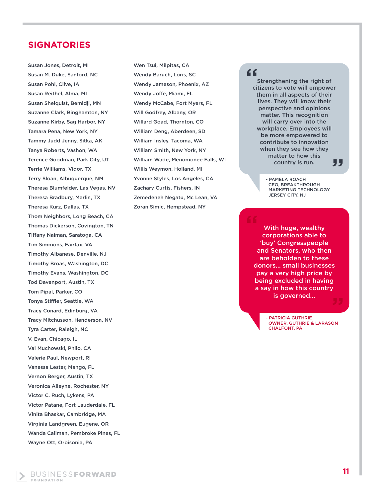Susan Jones, Detroit, MI Susan M. Duke, Sanford, NC Susan Pohl, Clive, IA Susan Reithel, Alma, MI Susan Shelquist, Bemidji, MN Suzanne Clark, Binghamton, NY Suzanne Kirby, Sag Harbor, NY Tamara Pena, New York, NY Tammy Judd Jenny, Sitka, AK Tanya Roberts, Vashon, WA Terence Goodman, Park City, UT Terrie Williams, Vidor, TX Terry Sloan, Albuquerque, NM Theresa Blumfelder, Las Vegas, NV Theresa Bradbury, Marlin, TX Theresa Kurz, Dallas, TX Thom Neighbors, Long Beach, CA Thomas Dickerson, Covington, TN Tiffany Naiman, Saratoga, CA Tim Simmons, Fairfax, VA Timothy Albanese, Denville, NJ Timothy Broas, Washington, DC Timothy Evans, Washington, DC Tod Davenport, Austin, TX Tom Pipal, Parker, CO Tonya Stiffler, Seattle, WA Tracy Conard, Edinburg, VA Tracy Mitchusson, Henderson, NV Tyra Carter, Raleigh, NC V. Evan, Chicago, IL Val Muchowski, Philo, CA Valerie Paul, Newport, RI Vanessa Lester, Mango, FL Vernon Berger, Austin, TX Veronica Alleyne, Rochester, NY Victor C. Ruch, Lykens, PA Victor Patane, Fort Lauderdale, FL Vinita Bhaskar, Cambridge, MA Virginia Landgreen, Eugene, OR Wanda Caliman, Pembroke Pines, FL Wayne Ott, Orbisonia, PA

Wen Tsui, Milpitas, CA Wendy Baruch, Loris, SC Wendy Jameson, Phoenix, AZ Wendy Joffe, Miami, FL Wendy McCabe, Fort Myers, FL Will Godfrey, Albany, OR Willard Goad, Thornton, CO William Deng, Aberdeen, SD William Insley, Tacoma, WA William Smith, New York, NY William Wade, Menomonee Falls, WI Willis Weymon, Holland, MI Yvonne Styles, Los Angeles, CA Zachary Curtis, Fishers, IN Zemedeneh Negatu, Mc Lean, VA Zoran Simic, Hempstead, NY

#### "

Strengthening the right of citizens to vote will empower them in all aspects of their lives. They will know their perspective and opinions matter. This recognition will carry over into the workplace. Employees will be more empowered to contribute to innovation when they see how they matter to how this country is run. "

> - PAMELA ROACH CEO, BREAKTHROUGH MARKETING TECHNOLOGY JERSEY CITY, NJ

With huge, wealthy corporations able to 'buy' Congresspeople and Senators, who then are beholden to these donors... small businesses pay a very high price by being excluded in having a say in how this country is governed...

> - PATRICIA GUTHRIE OWNER, GUTHRIE & LARASON CHALFONT, PA